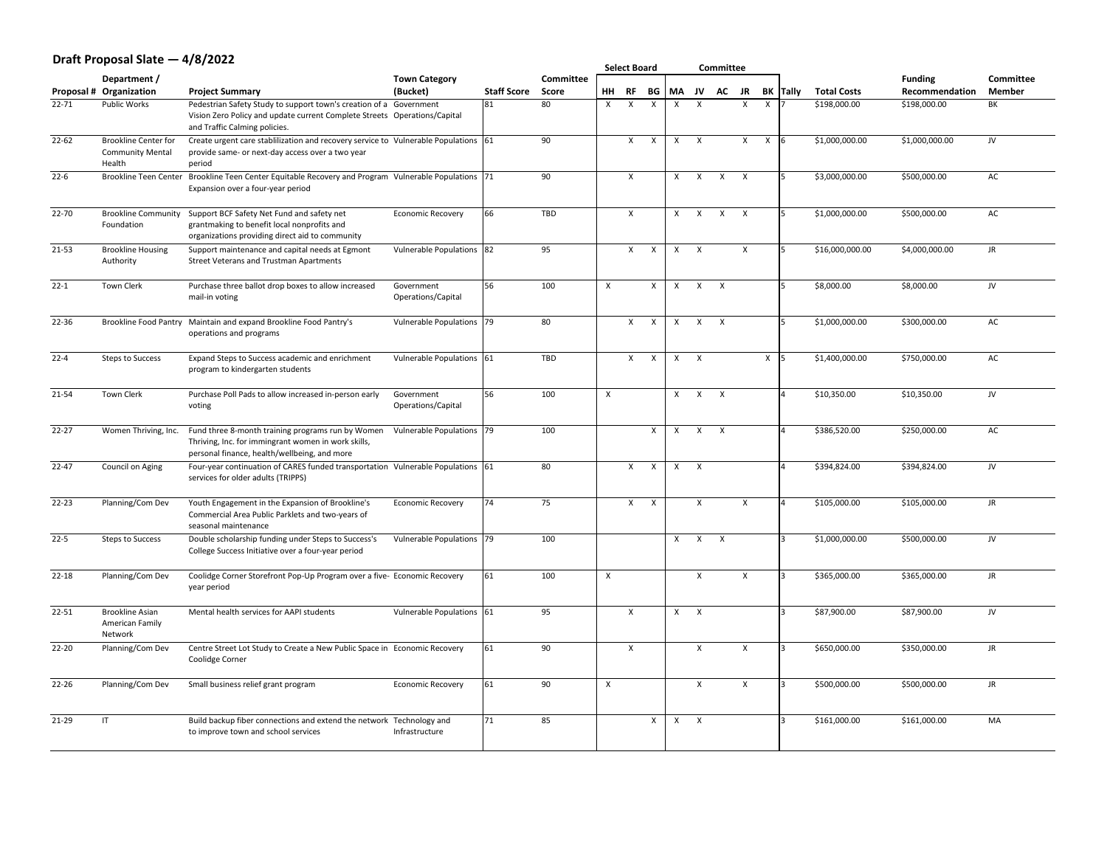### **Draft Proposal Slate — 4/8/2022**

| Committee |
|-----------|
| Member    |

|           | PIUIL I IUPUJUI JIULL                                            |                                                                                                                                                                                  |                                  |                    |                  |                           | <b>Select Board</b> |                  |                           |                           | <b>Committee</b> |              |              |                 |                    |                |           |
|-----------|------------------------------------------------------------------|----------------------------------------------------------------------------------------------------------------------------------------------------------------------------------|----------------------------------|--------------------|------------------|---------------------------|---------------------|------------------|---------------------------|---------------------------|------------------|--------------|--------------|-----------------|--------------------|----------------|-----------|
|           | Department /                                                     |                                                                                                                                                                                  | <b>Town Category</b>             |                    | <b>Committee</b> |                           |                     |                  |                           |                           |                  |              |              |                 |                    | <b>Funding</b> | Com       |
|           | <b>Proposal # Organization</b>                                   | <b>Project Summary</b>                                                                                                                                                           | (Bucket)                         | <b>Staff Score</b> | <b>Score</b>     | <b>HH</b>                 | <b>RF</b>           | <b>BG</b>        | <b>MA</b>                 | JV                        | <b>AC</b>        | <b>JR</b>    |              | <b>BK</b> Tally | <b>Total Costs</b> | Recommendation | Mer       |
| $22 - 71$ | <b>Public Works</b>                                              | Pedestrian Safety Study to support town's creation of a Government<br>Vision Zero Policy and update current Complete Streets Operations/Capital<br>and Traffic Calming policies. |                                  | 81                 | 80               | $\sf X$                   | $\sf X$             |                  | X                         | $\boldsymbol{\mathsf{X}}$ |                  | X            | $\mathsf{X}$ |                 | \$198,000.00       | \$198,000.00   | BK        |
| $22 - 62$ | <b>Brookline Center for</b><br><b>Community Mental</b><br>Health | Create urgent care stablilization and recovery service to Vulnerable Populations 61<br>provide same- or next-day access over a two year<br>period                                |                                  |                    | 90               |                           | X                   | $\mathsf{X}$     | $\boldsymbol{\mathsf{X}}$ | $\boldsymbol{\mathsf{X}}$ |                  | X            | $\mathsf{X}$ |                 | \$1,000,000.00     | \$1,000,000.00 | JV        |
| $22 - 6$  | <b>Brookline Teen Center</b>                                     | Brookline Teen Center Equitable Recovery and Program Vulnerable Populations 71<br>Expansion over a four-year period                                                              |                                  |                    | 90               |                           | X                   |                  | $\boldsymbol{\mathsf{X}}$ | $\boldsymbol{\mathsf{X}}$ | $\sf X$          |              |              |                 | \$3,000,000.00     | \$500,000.00   | AC        |
| $22 - 70$ | <b>Brookline Community</b><br>Foundation                         | Support BCF Safety Net Fund and safety net<br>grantmaking to benefit local nonprofits and<br>organizations providing direct aid to community                                     | <b>Economic Recovery</b>         | 66                 | <b>TBD</b>       |                           | $\mathsf{X}$        |                  | $\mathsf{X}$              | X                         | $\mathsf{X}$     | $\mathsf{X}$ |              |                 | \$1,000,000.00     | \$500,000.00   | AC        |
| $21 - 53$ | <b>Brookline Housing</b><br>Authority                            | Support maintenance and capital needs at Egmont<br><b>Street Veterans and Trustman Apartments</b>                                                                                | Vulnerable Populations 82        |                    | 95               |                           | X                   | $\sf X$          | X                         | $\boldsymbol{\mathsf{X}}$ |                  | $\sf X$      |              |                 | \$16,000,000.00    | \$4,000,000.00 | <b>JR</b> |
| $22 - 1$  | Town Clerk                                                       | Purchase three ballot drop boxes to allow increased<br>mail-in voting                                                                                                            | Government<br>Operations/Capital | 56                 | 100              | $\boldsymbol{\mathsf{X}}$ |                     | X                | X                         | X                         | $\mathsf{X}$     |              |              |                 | \$8,000.00         | \$8,000.00     | JV        |
| 22-36     | <b>Brookline Food Pantry</b>                                     | Maintain and expand Brookline Food Pantry's<br>operations and programs                                                                                                           | Vulnerable Populations   79      |                    | 80               |                           | X                   | $\sf X$          |                           | $\boldsymbol{\mathsf{X}}$ |                  |              |              |                 | \$1,000,000.00     | \$300,000.00   | AC        |
| $22 - 4$  | <b>Steps to Success</b>                                          | Expand Steps to Success academic and enrichment<br>program to kindergarten students                                                                                              | Vulnerable Populations 61        |                    | <b>TBD</b>       |                           | X                   | $\boldsymbol{X}$ | X                         | $\boldsymbol{\mathsf{X}}$ |                  |              | X            |                 | \$1,400,000.00     | \$750,000.00   | AC        |
| $21 - 54$ | Town Clerk                                                       | Purchase Poll Pads to allow increased in-person early<br>voting                                                                                                                  | Government<br>Operations/Capital | 56                 | 100              | $\boldsymbol{X}$          |                     |                  | $\sf X$                   | $\sf X$                   | $\mathsf{X}$     |              |              |                 | \$10,350.00        | \$10,350.00    | JV        |
| $22 - 27$ | Women Thriving, Inc.                                             | Fund three 8-month training programs run by Women<br>Thriving, Inc. for immingrant women in work skills,<br>personal finance, health/wellbeing, and more                         | Vulnerable Populations 79        |                    | 100              |                           |                     | X                |                           | $\boldsymbol{\mathsf{X}}$ | $\mathsf{X}$     |              |              |                 | \$386,520.00       | \$250,000.00   | AC        |
| $22 - 47$ | Council on Aging                                                 | Four-year continuation of CARES funded transportation Vulnerable Populations 61<br>services for older adults (TRIPPS)                                                            |                                  |                    | 80               |                           | X                   | $\sf X$          | X                         | $\boldsymbol{\mathsf{X}}$ |                  |              |              |                 | \$394,824.00       | \$394,824.00   | JV        |
| $22 - 23$ | Planning/Com Dev                                                 | Youth Engagement in the Expansion of Brookline's<br>Commercial Area Public Parklets and two-years of<br>seasonal maintenance                                                     | <b>Economic Recovery</b>         | 74                 | 75               |                           | $\mathsf{X}$        | $\mathsf{X}$     |                           |                           |                  |              |              |                 | \$105,000.00       | \$105,000.00   | JR        |
| $22 - 5$  | <b>Steps to Success</b>                                          | Double scholarship funding under Steps to Success's<br>College Success Initiative over a four-year period                                                                        | Vulnerable Populations 79        |                    | 100              |                           |                     |                  | $\boldsymbol{\mathsf{X}}$ | $\mathsf{X}$              | $\mathsf{X}$     |              |              |                 | \$1,000,000.00     | \$500,000.00   | JV        |
| $22 - 18$ | Planning/Com Dev                                                 | Coolidge Corner Storefront Pop-Up Program over a five- Economic Recovery<br>year period                                                                                          |                                  | 61                 | 100              |                           |                     |                  |                           |                           |                  | X            |              |                 | \$365,000.00       | \$365,000.00   | <b>JR</b> |
| $22 - 51$ | <b>Brookline Asian</b><br><b>American Family</b><br>Network      | Mental health services for AAPI students                                                                                                                                         | Vulnerable Populations 61        |                    | 95               |                           | X                   |                  | X                         | $\mathsf{X}$              |                  |              |              |                 | \$87,900.00        | \$87,900.00    | JV        |
| $22 - 20$ | Planning/Com Dev                                                 | Centre Street Lot Study to Create a New Public Space in Economic Recovery<br><b>Coolidge Corner</b>                                                                              |                                  | 61                 | 90               |                           | X                   |                  |                           | $\mathbf v$               |                  | $\sf X$      |              |                 | \$650,000.00       | \$350,000.00   | JR        |
| $22 - 26$ | Planning/Com Dev                                                 | Small business relief grant program                                                                                                                                              | <b>Economic Recovery</b>         | 61                 | 90               | $\boldsymbol{X}$          |                     |                  |                           | X                         |                  | X            |              |                 | \$500,000.00       | \$500,000.00   | JR        |
| $21 - 29$ | $\mathsf{I}$                                                     | Build backup fiber connections and extend the network<br>to improve town and school services                                                                                     | Technology and<br>Infrastructure | 71                 | 85               |                           |                     | X                | X                         | $\mathsf{X}$              |                  |              |              |                 | \$161,000.00       | \$161,000.00   | MA        |
|           |                                                                  |                                                                                                                                                                                  |                                  |                    |                  |                           |                     |                  |                           |                           |                  |              |              |                 |                    |                |           |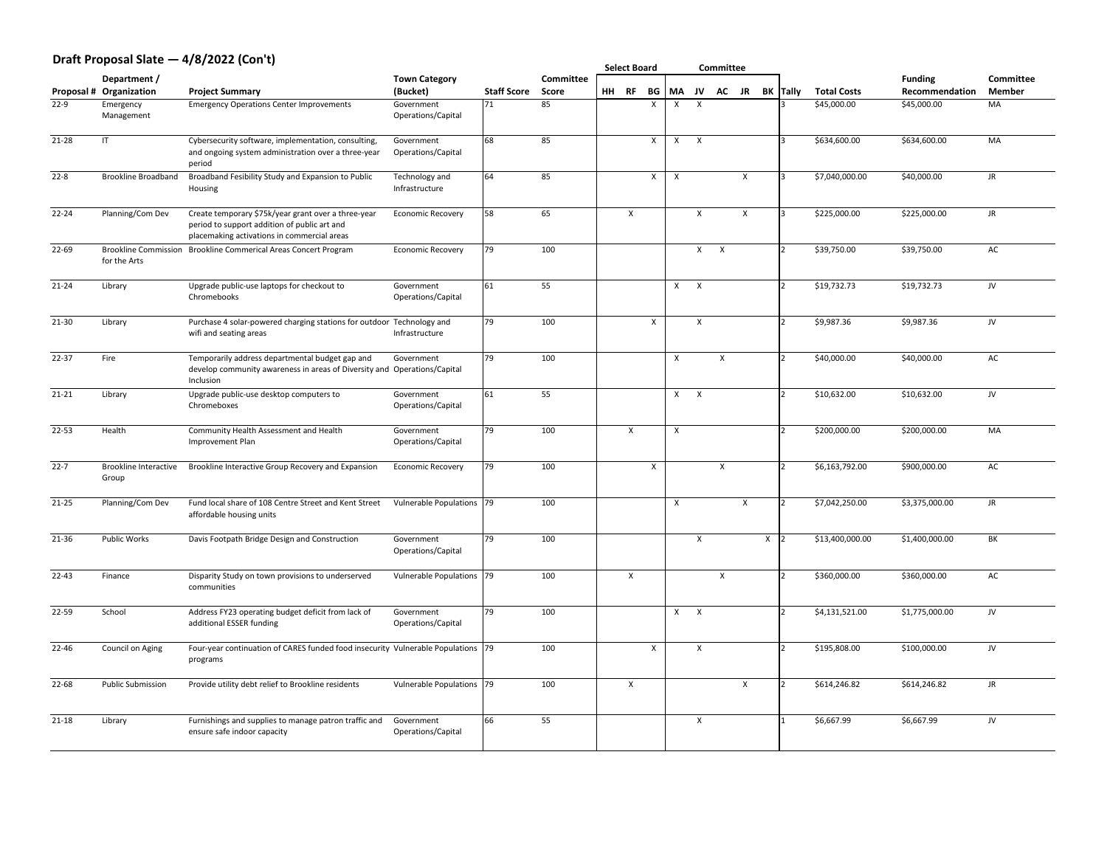# **Draft Proposal Slate — 4/8/2022 (Con't)**

| Committee |
|-----------|
| Member    |

|                             | PIGIL I IUPUJUI JIULU                       | T/ Y/ LVLL (YVII Y/                                                                                                                                |                                              |                          |                    | <b>Select Board</b> |           |                           |                           | <b>Committee</b>          |                           |           |              |                 |                                   |                               |                  |
|-----------------------------|---------------------------------------------|----------------------------------------------------------------------------------------------------------------------------------------------------|----------------------------------------------|--------------------------|--------------------|---------------------|-----------|---------------------------|---------------------------|---------------------------|---------------------------|-----------|--------------|-----------------|-----------------------------------|-------------------------------|------------------|
|                             | Department /                                |                                                                                                                                                    | <b>Town Category</b>                         |                          | Committee          |                     |           |                           | <b>MA</b>                 |                           |                           |           |              |                 |                                   | <b>Funding</b>                | Con              |
| <b>Proposal #</b><br>$22-9$ | Organization<br>Emergency<br>Management     | <b>Project Summary</b><br><b>Emergency Operations Center Improvements</b>                                                                          | (Bucket)<br>Government<br>Operations/Capital | <b>Staff Score</b><br>71 | <b>Score</b><br>85 | HH                  | <b>RF</b> | <b>BG</b><br>$\sf X$      | $\Lambda$                 | JV<br>$\boldsymbol{X}$    | <b>AC</b>                 | <b>JR</b> |              | <b>BK Tally</b> | <b>Total Costs</b><br>\$45,000.00 | Recommendation<br>\$45,000.00 | <b>Mer</b><br>MA |
| $21 - 28$                   | $\mathsf{I}\mathsf{T}$                      | Cybersecurity software, implementation, consulting,<br>and ongoing system administration over a three-year<br>period                               | Government<br>Operations/Capital             | 68                       | 85                 |                     |           | $\sf X$                   | $\boldsymbol{\mathsf{X}}$ |                           |                           |           |              |                 | \$634,600.00                      | \$634,600.00                  | MA               |
| $22 - 8$                    | <b>Brookline Broadband</b>                  | Broadband Fesibility Study and Expansion to Public<br>Housing                                                                                      | Technology and<br>Infrastructure             | 64                       | 85                 |                     |           | $\mathsf{X}$              |                           |                           |                           | $\sf X$   |              |                 | \$7,040,000.00                    | \$40,000.00                   | <b>JR</b>        |
| $22 - 24$                   | Planning/Com Dev                            | Create temporary \$75k/year grant over a three-year<br>period to support addition of public art and<br>placemaking activations in commercial areas | <b>Economic Recovery</b>                     | 58                       | 65                 |                     | X         |                           |                           |                           |                           | X         |              |                 | \$225,000.00                      | \$225,000.00                  | <b>JR</b>        |
| $22 - 69$                   | <b>Brookline Commission</b><br>for the Arts | <b>Brookline Commerical Areas Concert Program</b>                                                                                                  | <b>Economic Recovery</b>                     | $ 79\rangle$             | 100                |                     |           |                           |                           | X                         | $\mathsf{X}$              |           |              |                 | \$39,750.00                       | \$39,750.00                   | AC               |
| $21 - 24$                   | Library                                     | Upgrade public-use laptops for checkout to<br>Chromebooks                                                                                          | Government<br>Operations/Capital             | 61                       | 55                 |                     |           |                           | X                         | $\mathsf{X}$              |                           |           |              |                 | \$19,732.73                       | \$19,732.73                   | JV               |
| $21 - 30$                   | Library                                     | Purchase 4 solar-powered charging stations for outdoor Technology and<br>wifi and seating areas                                                    | Infrastructure                               | $\boxed{79}$             | 100                |                     |           | $\boldsymbol{\mathsf{X}}$ |                           |                           |                           |           |              |                 | \$9,987.36                        | \$9,987.36                    | JV               |
| $22 - 37$                   | Fire                                        | Temporarily address departmental budget gap and<br>develop community awareness in areas of Diversity and Operations/Capital<br>Inclusion           | Government                                   | $ 79\rangle$             | 100                |                     |           |                           |                           |                           | $\mathsf{X}$              |           |              |                 | \$40,000.00                       | \$40,000.00                   | AC               |
| $21 - 21$                   | Library                                     | Upgrade public-use desktop computers to<br>Chromeboxes                                                                                             | Government<br>Operations/Capital             | 61                       | 55                 |                     |           |                           | $\mathbf{v}$<br>$\lambda$ | $\boldsymbol{\mathsf{X}}$ |                           |           |              |                 | \$10,632.00                       | \$10,632.00                   | JV               |
| $22 - 53$                   | Health                                      | <b>Community Health Assessment and Health</b><br>Improvement Plan                                                                                  | Government<br>Operations/Capital             | $ 79\rangle$             | 100                |                     | X         |                           |                           |                           |                           |           |              |                 | \$200,000.00                      | \$200,000.00                  | MA               |
| $22 - 7$                    | <b>Brookline Interactive</b><br>Group       | Brookline Interactive Group Recovery and Expansion                                                                                                 | <b>Economic Recovery</b>                     | $ 79\rangle$             | 100                |                     |           | X                         |                           |                           | $\boldsymbol{\mathsf{X}}$ |           |              |                 | \$6,163,792.00                    | \$900,000.00                  | AC               |
| $21 - 25$                   | Planning/Com Dev                            | Fund local share of 108 Centre Street and Kent Street<br>affordable housing units                                                                  | Vulnerable Populations   79                  |                          | 100                |                     |           |                           |                           |                           |                           | $\sf X$   |              |                 | \$7,042,250.00                    | \$3,375,000.00                | <b>JR</b>        |
| 21-36                       | <b>Public Works</b>                         | Davis Footpath Bridge Design and Construction                                                                                                      | Government<br>Operations/Capital             | $ 79\rangle$             | 100                |                     |           |                           |                           | $\boldsymbol{\mathsf{X}}$ |                           |           | $\mathsf{X}$ |                 | \$13,400,000.00                   | \$1,400,000.00                | BK               |
| $22 - 43$                   | Finance                                     | Disparity Study on town provisions to underserved<br>communities                                                                                   | Vulnerable Populations   79                  |                          | 100                |                     | $\sf X$   |                           |                           |                           | $\sf X$                   |           |              |                 | \$360,000.00                      | \$360,000.00                  | AC               |
| $22 - 59$                   | School                                      | Address FY23 operating budget deficit from lack of<br>additional ESSER funding                                                                     | Government<br>Operations/Capital             | $ 79\rangle$             | 100                |                     |           |                           | X                         | $\mathsf{X}$              |                           |           |              |                 | \$4,131,521.00                    | \$1,775,000.00                | JV               |
| $22 - 46$                   | <b>Council on Aging</b>                     | Four-year continuation of CARES funded food insecurity Vulnerable Populations 79<br>programs                                                       |                                              |                          | 100                |                     |           | $\mathsf{X}$              |                           | $\boldsymbol{\mathsf{X}}$ |                           |           |              |                 | \$195,808.00                      | \$100,000.00                  | JV               |
| 22-68                       | <b>Public Submission</b>                    | Provide utility debt relief to Brookline residents                                                                                                 | Vulnerable Populations 79                    |                          | 100                |                     | X         |                           |                           |                           |                           | X         |              |                 | \$614,246.82                      | \$614,246.82                  | <b>JR</b>        |
| $21 - 18$                   | Library                                     | Furnishings and supplies to manage patron traffic and<br>ensure safe indoor capacity                                                               | Government<br>Operations/Capital             | 66                       | 55                 |                     |           |                           |                           | $\boldsymbol{\mathsf{X}}$ |                           |           |              |                 | \$6,667.99                        | \$6,667.99                    | JV               |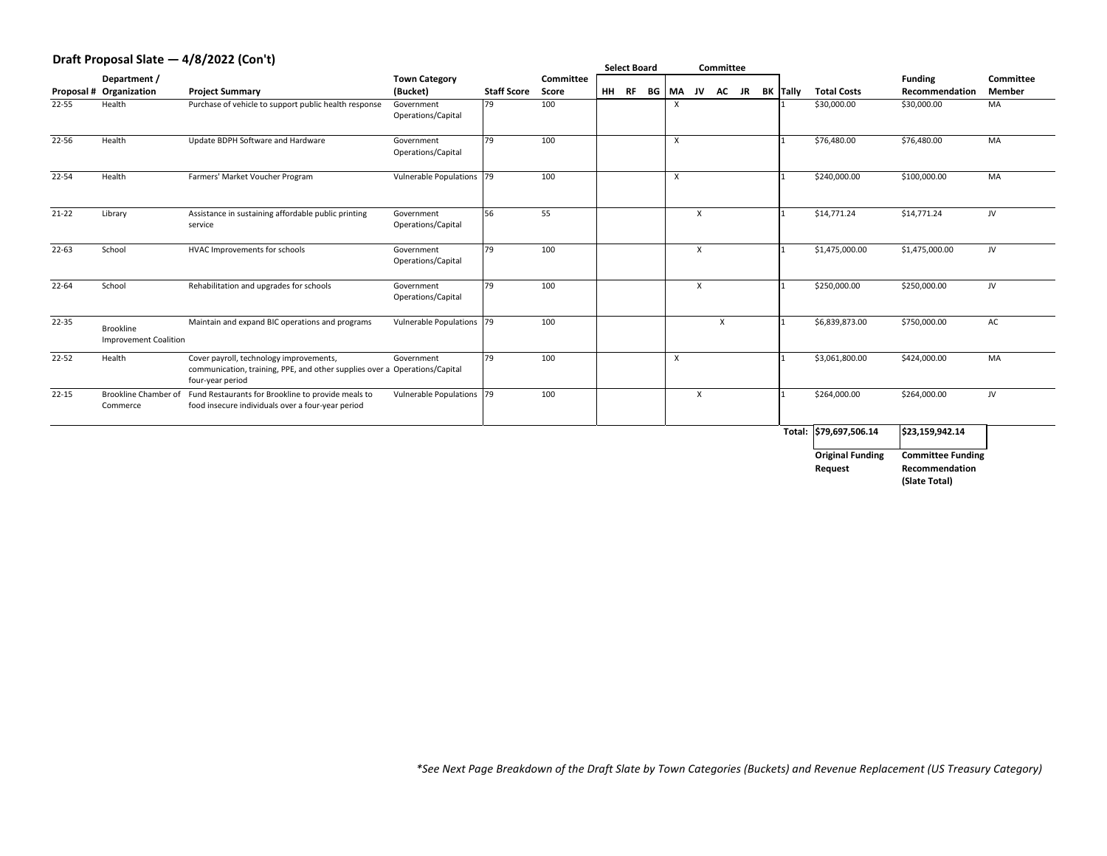### **Draft Proposal Slate — 4/8/2022 (Con't)**

| Committee     |
|---------------|
| <b>Member</b> |

| PIUIT I TUPUUNI UNTU                    | $1/9$ $-9$ $-6$ $-1$ $-9$ $-1$                                                                          |                                  |                                                                                        |                                                                                                                                                   |    |           |                                  |                           |           |                               |                           |                                                                                                               |                          |
|-----------------------------------------|---------------------------------------------------------------------------------------------------------|----------------------------------|----------------------------------------------------------------------------------------|---------------------------------------------------------------------------------------------------------------------------------------------------|----|-----------|----------------------------------|---------------------------|-----------|-------------------------------|---------------------------|---------------------------------------------------------------------------------------------------------------|--------------------------|
| Department /                            |                                                                                                         | <b>Town Category</b>             |                                                                                        | Committee                                                                                                                                         |    |           |                                  |                           |           |                               |                           | <b>Funding</b>                                                                                                | Con                      |
|                                         | <b>Project Summary</b>                                                                                  |                                  |                                                                                        | <b>Score</b>                                                                                                                                      |    |           | <b>MA</b>                        |                           | <b>AC</b> |                               | <b>Total Costs</b>        | Recommendation                                                                                                | Mer                      |
| Health                                  | Purchase of vehicle to support public health response                                                   | Government<br>Operations/Capital |                                                                                        | 100                                                                                                                                               |    |           |                                  |                           |           |                               | \$30,000.00               | \$30,000.00                                                                                                   | MA                       |
| Health                                  | Update BDPH Software and Hardware                                                                       | Government<br>Operations/Capital | 79                                                                                     | 100                                                                                                                                               |    |           |                                  |                           |           |                               |                           | \$76,480.00                                                                                                   | MA                       |
| Health                                  | Farmers' Market Voucher Program                                                                         |                                  |                                                                                        | 100                                                                                                                                               |    |           |                                  |                           |           |                               | \$240,000.00              | \$100,000.00                                                                                                  | MA                       |
| Library                                 | Assistance in sustaining affordable public printing<br>service                                          | Government<br>Operations/Capital |                                                                                        | 55                                                                                                                                                |    |           |                                  | $\boldsymbol{\mathsf{X}}$ |           |                               | \$14,771.24               | \$14,771.24                                                                                                   | JV                       |
| School                                  | HVAC Improvements for schools                                                                           | Government<br>Operations/Capital |                                                                                        | 100                                                                                                                                               |    |           |                                  | $\sf X$                   |           |                               | \$1,475,000.00            | \$1,475,000.00                                                                                                | JV                       |
| School                                  | Rehabilitation and upgrades for schools                                                                 | Government<br>Operations/Capital |                                                                                        | 100                                                                                                                                               |    |           |                                  | $\boldsymbol{\mathsf{X}}$ |           |                               | \$250,000.00              | \$250,000.00                                                                                                  | JV                       |
| Brookline                               | Maintain and expand BIC operations and programs                                                         |                                  |                                                                                        | 100                                                                                                                                               |    |           |                                  |                           |           |                               |                           | \$750,000.00                                                                                                  | AC                       |
| Health                                  | Cover payroll, technology improvements,<br>four-year period                                             | Government                       |                                                                                        | 100                                                                                                                                               |    |           |                                  |                           |           |                               |                           | \$424,000.00                                                                                                  | MA                       |
| <b>Brookline Chamber of</b><br>Commerce | Fund Restaurants for Brookline to provide meals to<br>food insecure individuals over a four-year period |                                  |                                                                                        | 100                                                                                                                                               |    |           |                                  | $\boldsymbol{\mathsf{X}}$ |           |                               |                           | \$264,000.00                                                                                                  | JV                       |
|                                         |                                                                                                         |                                  |                                                                                        |                                                                                                                                                   |    |           |                                  |                           |           |                               |                           | \$23,159,942.14                                                                                               |                          |
|                                         |                                                                                                         |                                  |                                                                                        |                                                                                                                                                   |    |           |                                  |                           |           |                               |                           |                                                                                                               |                          |
|                                         |                                                                                                         |                                  |                                                                                        |                                                                                                                                                   |    |           |                                  |                           |           |                               | <b>Request</b>            | Recommendation<br>(Slate Total)                                                                               |                          |
|                                         | <b>Proposal # Organization</b>                                                                          | <b>Improvement Coalition</b>     | (Bucket)<br>communication, training, PPE, and other supplies over a Operations/Capital | <b>Staff Score</b><br>79<br>Vulnerable Populations 79<br>56<br>$\vert 79$<br>79<br>Vulnerable Populations  79<br>79<br>Vulnerable Populations  79 | HH | <b>RF</b> | <b>Select Board</b><br><b>BG</b> |                           | JV        | <b>Committee</b><br><b>JR</b> | <b>BK</b> Tally<br>Total: | \$76,480.00<br>\$6,839,873.00<br>\$3,061,800.00<br>\$264,000.00<br>\$79,697,506.14<br><b>Original Funding</b> | <b>Committee Funding</b> |

*\*See Next Page Breakdown of the Draft Slate by Town Categories (Buckets) and Revenue Replacement (US Treasury Category)*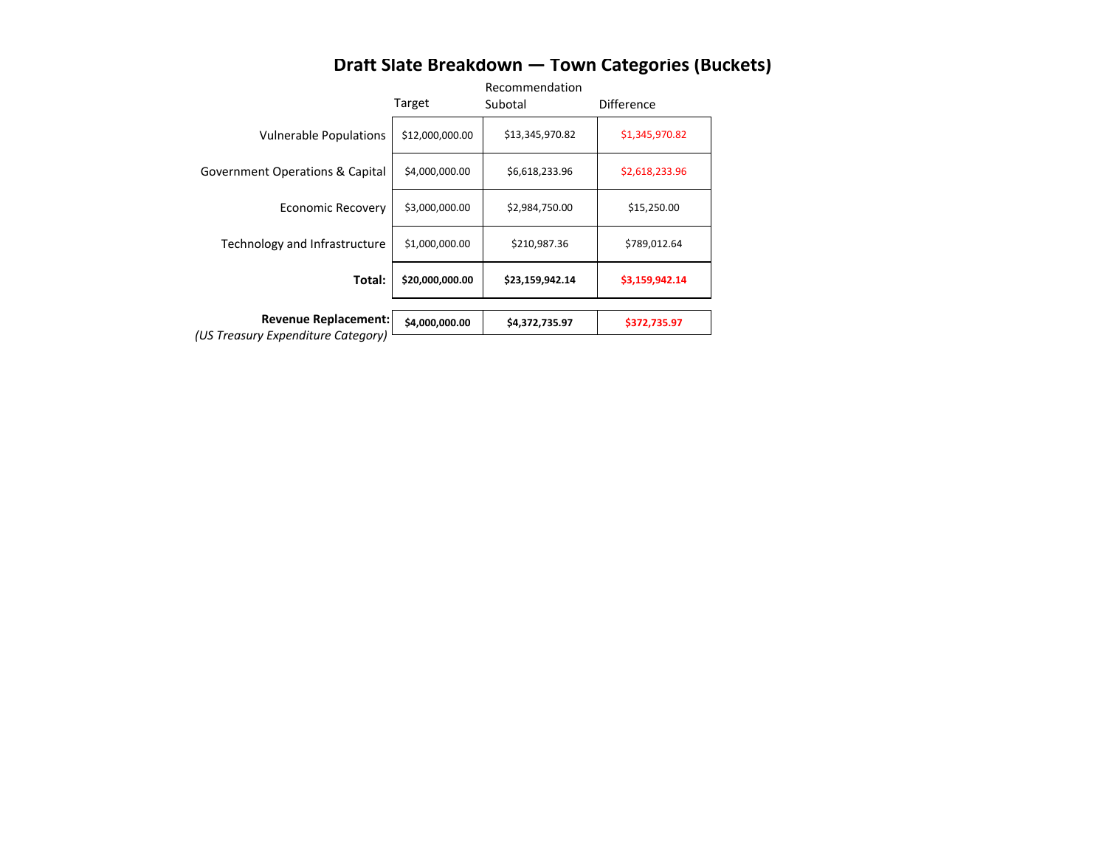|                                            | Target          | ハヒしい<br>Subc |
|--------------------------------------------|-----------------|--------------|
| <b>Vulnerable Populations</b>              | \$12,000,000.00 | $\varsigma$  |
| <b>Government Operations &amp; Capital</b> | \$4,000,000.00  |              |
| <b>Economic Recovery</b>                   | \$3,000,000.00  |              |
| Technology and Infrastructure              | \$1,000,000.00  |              |
| Total:                                     | \$20,000,000.00 | \$           |
|                                            |                 |              |
| <b>Revenue Replacement:</b>                | \$4,000,000.00  |              |
| (US Treasury Expenditure Category)         |                 |              |

# **Draft Slate Breakdown — Town Categories (Buckets)**

# Recommendation

| Target          | Subotal         | <b>Difference</b> |
|-----------------|-----------------|-------------------|
| \$12,000,000.00 | \$13,345,970.82 | \$1,345,970.82    |
| \$4,000,000.00  | \$6,618,233.96  | \$2,618,233.96    |
| \$3,000,000.00  | \$2,984,750.00  | \$15,250.00       |
| \$1,000,000.00  | \$210,987.36    | \$789,012.64      |
| \$20,000,000.00 | \$23,159,942.14 | \$3,159,942.14    |
|                 |                 |                   |
| \$4,000,000.00  | \$4,372,735.97  | \$372,735.97      |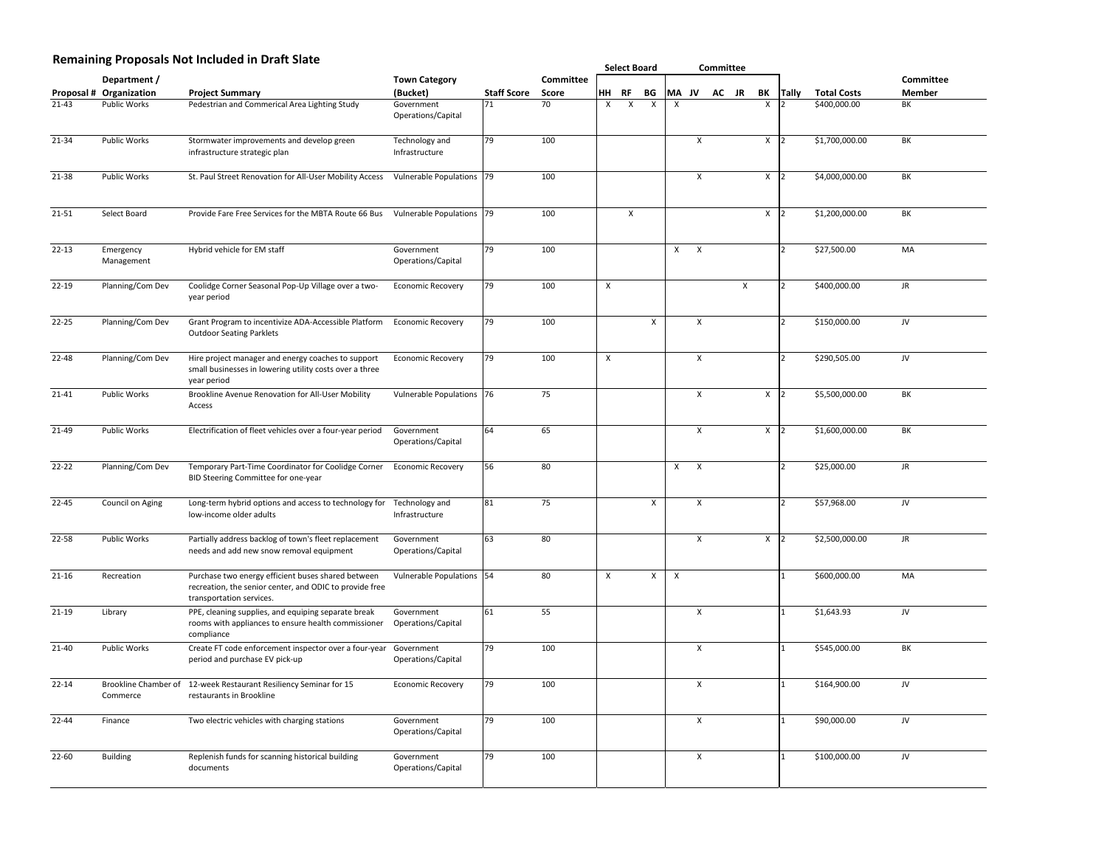### **Remaining Proposals Not Included in Draft Slate**

|                   |                                         |                                                                                                                                           |                                  |                    |                  |                  | <b>Select Board</b> |              |                           | <b>Committee</b>          |       |   |              |              |                    |                  |
|-------------------|-----------------------------------------|-------------------------------------------------------------------------------------------------------------------------------------------|----------------------------------|--------------------|------------------|------------------|---------------------|--------------|---------------------------|---------------------------|-------|---|--------------|--------------|--------------------|------------------|
|                   | Department /                            |                                                                                                                                           | <b>Town Category</b>             |                    | <b>Committee</b> |                  |                     |              |                           |                           |       |   |              |              |                    | <b>Committee</b> |
| <b>Proposal #</b> | Organization                            | <b>Project Summary</b>                                                                                                                    | (Bucket)                         | <b>Staff Score</b> | <b>Score</b>     | HH               | <b>RF</b>           | <b>BG</b>    | <b>MA JV</b>              |                           | AC JR |   | BK           | <b>Tally</b> | <b>Total Costs</b> | <b>Member</b>    |
| $21 - 43$         | <b>Public Works</b>                     | Pedestrian and Commerical Area Lighting Study                                                                                             | Government<br>Operations/Capital | 71                 | 70               | $\mathsf{X}$     | $\mathsf{X}$        | $\mathsf{X}$ | $\mathsf{X}$              |                           |       |   | $\mathsf{X}$ |              | \$400,000.00       | BK               |
| $21 - 34$         | <b>Public Works</b>                     | Stormwater improvements and develop green<br>infrastructure strategic plan                                                                | Technology and<br>Infrastructure | 79                 | 100              |                  |                     |              |                           | $\mathsf{X}$              |       |   | $\mathsf{X}$ |              | \$1,700,000.00     | BK               |
| 21-38             | <b>Public Works</b>                     | St. Paul Street Renovation for All-User Mobility Access                                                                                   | Vulnerable Populations 79        |                    | 100              |                  |                     |              |                           | $\sf X$                   |       |   | X            |              | \$4,000,000.00     | BK               |
| $21 - 51$         | Select Board                            | Provide Fare Free Services for the MBTA Route 66 Bus                                                                                      | Vulnerable Populations   79      |                    | 100              |                  | $\sf X$             |              |                           |                           |       |   | $\sf X$      |              | \$1,200,000.00     | BK               |
| $22 - 13$         | Emergency<br>Management                 | Hybrid vehicle for EM staff                                                                                                               | Government<br>Operations/Capital | 79                 | 100              |                  |                     |              | $\mathsf{X}$              | $\mathsf{X}$              |       |   |              |              | \$27,500.00        | <b>MA</b>        |
| $22 - 19$         | Planning/Com Dev                        | Coolidge Corner Seasonal Pop-Up Village over a two-<br>year period                                                                        | <b>Economic Recovery</b>         | 79                 | 100              | $\boldsymbol{X}$ |                     |              |                           |                           |       | X |              |              | \$400,000.00       | <b>JR</b>        |
| $22 - 25$         | Planning/Com Dev                        | Grant Program to incentivize ADA-Accessible Platform<br><b>Outdoor Seating Parklets</b>                                                   | <b>Economic Recovery</b>         | 79                 | 100              |                  |                     | X            |                           | $\mathsf{X}$              |       |   |              |              | \$150,000.00       | JV               |
| $22 - 48$         | Planning/Com Dev                        | Hire project manager and energy coaches to support<br>small businesses in lowering utility costs over a three<br>year period              | <b>Economic Recovery</b>         | 79                 | 100              | $\mathsf{X}$     |                     |              |                           | $\mathsf{X}$              |       |   |              |              | \$290,505.00       | JV               |
| $21 - 41$         | <b>Public Works</b>                     | <b>Brookline Avenue Renovation for All-User Mobility</b><br>Access                                                                        | Vulnerable Populations 76        |                    | 75               |                  |                     |              |                           | $\mathsf{X}$              |       |   | $\mathsf{X}$ |              | \$5,500,000.00     | BK               |
| $21 - 49$         | <b>Public Works</b>                     | Electrification of fleet vehicles over a four-year period                                                                                 | Government<br>Operations/Capital | 64                 | 65               |                  |                     |              |                           | $\mathsf{X}$              |       |   | X            |              | \$1,600,000.00     | BK               |
| $22 - 22$         | Planning/Com Dev                        | Temporary Part-Time Coordinator for Coolidge Corner<br>BID Steering Committee for one-year                                                | <b>Economic Recovery</b>         | 56                 | 80               |                  |                     |              | $\sf X$                   | $\mathsf{X}$              |       |   |              |              | \$25,000.00        | <b>JR</b>        |
| $22 - 45$         | <b>Council on Aging</b>                 | Long-term hybrid options and access to technology for<br>low-income older adults                                                          | Technology and<br>Infrastructure | 81                 | 75               |                  |                     | $\mathsf{X}$ |                           | $\mathsf{X}$              |       |   |              |              | \$57,968.00        | JV               |
| 22-58             | <b>Public Works</b>                     | Partially address backlog of town's fleet replacement<br>needs and add new snow removal equipment                                         | Government<br>Operations/Capital | 63                 | 80               |                  |                     |              |                           | $\mathsf{X}$              |       |   | $\mathsf{X}$ |              | \$2,500,000.00     | <b>JR</b>        |
| $21 - 16$         | Recreation                              | Purchase two energy efficient buses shared between<br>recreation, the senior center, and ODIC to provide free<br>transportation services. | Vulnerable Populations 54        |                    | 80               | $\mathsf{X}$     |                     | $\sf X$      | $\boldsymbol{\mathsf{X}}$ |                           |       |   |              |              | \$600,000.00       | <b>MA</b>        |
| $21-19$           | Library                                 | PPE, cleaning supplies, and equiping separate break<br>rooms with appliances to ensure health commissioner<br>compliance                  | Government<br>Operations/Capital | 61                 | 55               |                  |                     |              |                           | $\mathsf{X}$              |       |   |              |              | \$1,643.93         | JV               |
| $21 - 40$         | <b>Public Works</b>                     | Create FT code enforcement inspector over a four-year<br>period and purchase EV pick-up                                                   | Government<br>Operations/Capital | 79                 | 100              |                  |                     |              |                           | $\boldsymbol{\mathsf{X}}$ |       |   |              |              | \$545,000.00       | BK               |
| $22 - 14$         | <b>Brookline Chamber of</b><br>Commerce | 12-week Restaurant Resiliency Seminar for 15<br>restaurants in Brookline                                                                  | <b>Economic Recovery</b>         | 79                 | 100              |                  |                     |              |                           | $\mathsf{X}$              |       |   |              |              | \$164,900.00       | JV               |
| $22 - 44$         | Finance                                 | Two electric vehicles with charging stations                                                                                              | Government<br>Operations/Capital | 79                 | 100              |                  |                     |              |                           | $\mathsf{X}$              |       |   |              |              | \$90,000.00        | JV               |
| $22 - 60$         | <b>Building</b>                         | Replenish funds for scanning historical building<br>documents                                                                             | Government<br>Operations/Capital | 79                 | 100              |                  |                     |              |                           | $\mathsf{X}$              |       |   |              |              | \$100,000.00       | JV               |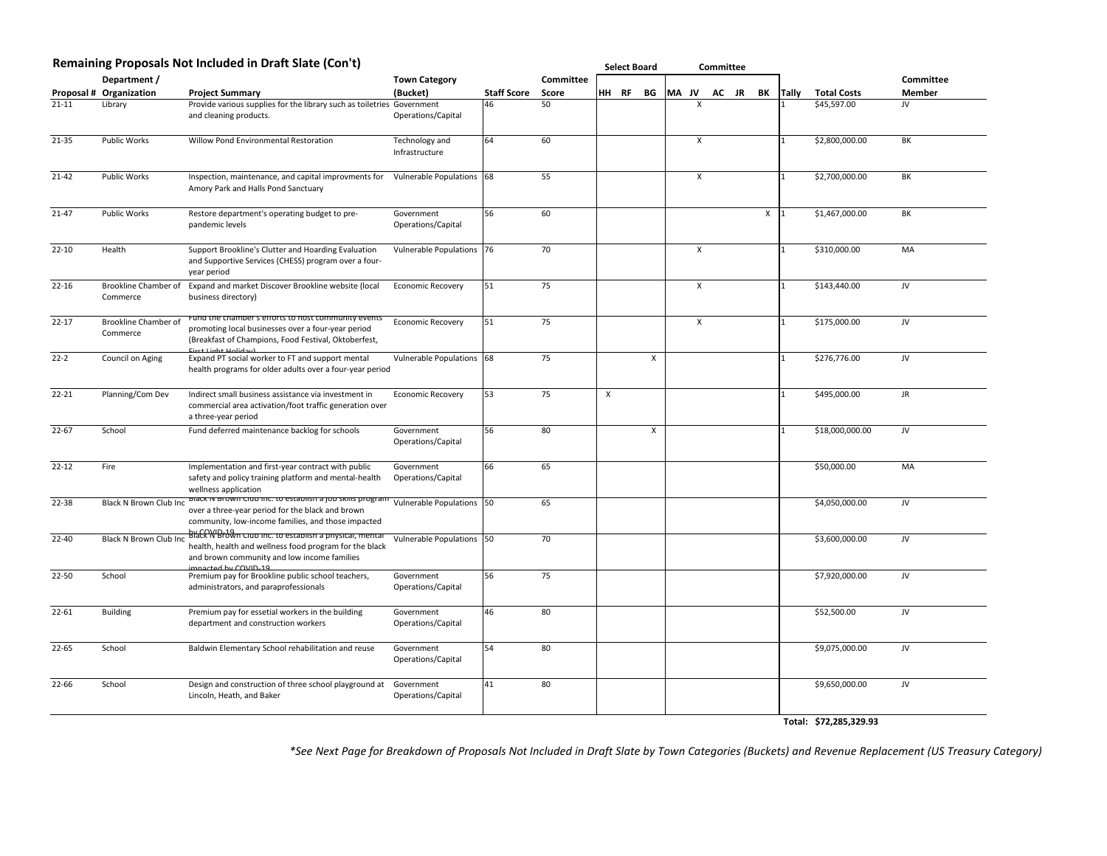#### **Remaining Proposals Not Included in Draft Slate (Con't)**

|           |                                         | Remaining Proposals Not Included in Draft Slate (Con't)                                                                                                                                   |                                  |                    |                  | <b>Select Board</b> |  |              |              | <b>Committee</b> |           |              |              |                        |                  |
|-----------|-----------------------------------------|-------------------------------------------------------------------------------------------------------------------------------------------------------------------------------------------|----------------------------------|--------------------|------------------|---------------------|--|--------------|--------------|------------------|-----------|--------------|--------------|------------------------|------------------|
|           | Department /                            |                                                                                                                                                                                           | <b>Town Category</b>             |                    | <b>Committee</b> |                     |  |              |              |                  |           |              |              |                        | <b>Committee</b> |
|           | <b>Proposal # Organization</b>          | <b>Project Summary</b>                                                                                                                                                                    | (Bucket)                         | <b>Staff Score</b> | <b>Score</b>     | HH RF               |  | BG           | <b>MA JV</b> | <b>AC</b>        | <b>JR</b> | BK           | <b>Tally</b> | <b>Total Costs</b>     | <b>Member</b>    |
| $21 - 11$ | Library                                 | Provide various supplies for the library such as toiletries Government<br>and cleaning products.                                                                                          | Operations/Capital               | 46                 | 50               |                     |  |              | $\mathsf{X}$ |                  |           |              |              | \$45,597.00            | JV               |
| $21 - 35$ | <b>Public Works</b>                     | <b>Willow Pond Environmental Restoration</b>                                                                                                                                              | Technology and<br>Infrastructure | 64                 | 60               |                     |  |              | $\mathsf{X}$ |                  |           |              |              | \$2,800,000.00         | BK               |
| $21 - 42$ | <b>Public Works</b>                     | Inspection, maintenance, and capital improvments for<br>Amory Park and Halls Pond Sanctuary                                                                                               | Vulnerable Populations 68        |                    | 55               |                     |  |              | $\sf X$      |                  |           |              |              | \$2,700,000.00         | BK               |
| $21 - 47$ | <b>Public Works</b>                     | Restore department's operating budget to pre-<br>pandemic levels                                                                                                                          | Government<br>Operations/Capital | 56                 | 60               |                     |  |              |              |                  |           | $\mathsf{X}$ |              | \$1,467,000.00         | BK               |
| $22 - 10$ | Health                                  | Support Brookline's Clutter and Hoarding Evaluation<br>and Supportive Services (CHESS) program over a four-<br>year period                                                                | Vulnerable Populations 76        |                    | 70               |                     |  |              | $\mathsf{X}$ |                  |           |              |              | \$310,000.00           | <b>MA</b>        |
| $22 - 16$ | <b>Brookline Chamber of</b><br>Commerce | Expand and market Discover Brookline website (local<br>business directory)                                                                                                                | <b>Economic Recovery</b>         | 51                 | 75               |                     |  |              | $\mathsf{X}$ |                  |           |              |              | \$143,440.00           | JV               |
| $22 - 17$ | <b>Brookline Chamber of</b><br>Commerce | Fund the chamber's efforts to nost community events<br>promoting local businesses over a four-year period<br>(Breakfast of Champions, Food Festival, Oktoberfest,<br>First Light Holiday) | <b>Economic Recovery</b>         | 51                 | 75               |                     |  |              | $\mathsf{X}$ |                  |           |              |              | \$175,000.00           | JV               |
| $22-2$    | Council on Aging                        | Expand PT social worker to FT and support mental<br>health programs for older adults over a four-year period                                                                              | Vulnerable Populations 68        |                    | 75               |                     |  | $\mathsf{X}$ |              |                  |           |              |              | \$276,776.00           | JV               |
| $22 - 21$ | Planning/Com Dev                        | Indirect small business assistance via investment in<br>commercial area activation/foot traffic generation over<br>a three-year period                                                    | <b>Economic Recovery</b>         | 53                 | 75               | $\boldsymbol{X}$    |  |              |              |                  |           |              |              | \$495,000.00           | <b>JR</b>        |
| $22 - 67$ | School                                  | Fund deferred maintenance backlog for schools                                                                                                                                             | Government<br>Operations/Capital | <b>56</b>          | 80               |                     |  | $\sf X$      |              |                  |           |              |              | \$18,000,000.00        | JV               |
| $22 - 12$ | Fire                                    | Implementation and first-year contract with public<br>safety and policy training platform and mental-health<br>wellness application                                                       | Government<br>Operations/Capital | 66                 | 65               |                     |  |              |              |                  |           |              |              | \$50,000.00            | <b>MA</b>        |
| $22 - 38$ | <b>Black N Brown Club Inc</b>           | Black in Brown Club Inc. to establish a Job skills program<br>over a three-year period for the black and brown<br>community, low-income families, and those impacted                      | Vulnerable Populations 50        |                    | 65               |                     |  |              |              |                  |           |              |              | \$4,050,000.00         | JV               |
| $22 - 40$ | <b>Black N Brown Club Inc</b>           | Black N'Brown club inc. to establish a physical, mental<br>health, health and wellness food program for the black<br>and brown community and low income families<br>impacted by COVID-19  | Vulnerable Populations 50        |                    | 70               |                     |  |              |              |                  |           |              |              | \$3,600,000.00         | JV               |
| $22 - 50$ | School                                  | Premium pay for Brookline public school teachers,<br>administrators, and paraprofessionals                                                                                                | Government<br>Operations/Capital | 56                 | 75               |                     |  |              |              |                  |           |              |              | \$7,920,000.00         | JV               |
| $22 - 61$ | <b>Building</b>                         | Premium pay for essetial workers in the building<br>department and construction workers                                                                                                   | Government<br>Operations/Capital | 46                 | 80               |                     |  |              |              |                  |           |              |              | \$52,500.00            | JV               |
| $22 - 65$ | School                                  | Baldwin Elementary School rehabilitation and reuse                                                                                                                                        | Government<br>Operations/Capital |                    | 80               |                     |  |              |              |                  |           |              |              | \$9,075,000.00         | JV               |
| 22-66     | School                                  | Design and construction of three school playground at<br>Lincoln, Heath, and Baker                                                                                                        | Government<br>Operations/Capital | 41                 | 80               |                     |  |              |              |                  |           |              |              | \$9,650,000.00         | JV               |
|           |                                         |                                                                                                                                                                                           |                                  |                    |                  |                     |  |              |              |                  |           |              |              | Total: \$72,285,329.93 |                  |

*\*See Next Page for Breakdown of Proposals Not Included in Draft Slate by Town Categories (Buckets) and Revenue Replacement (US Treasury Category)*